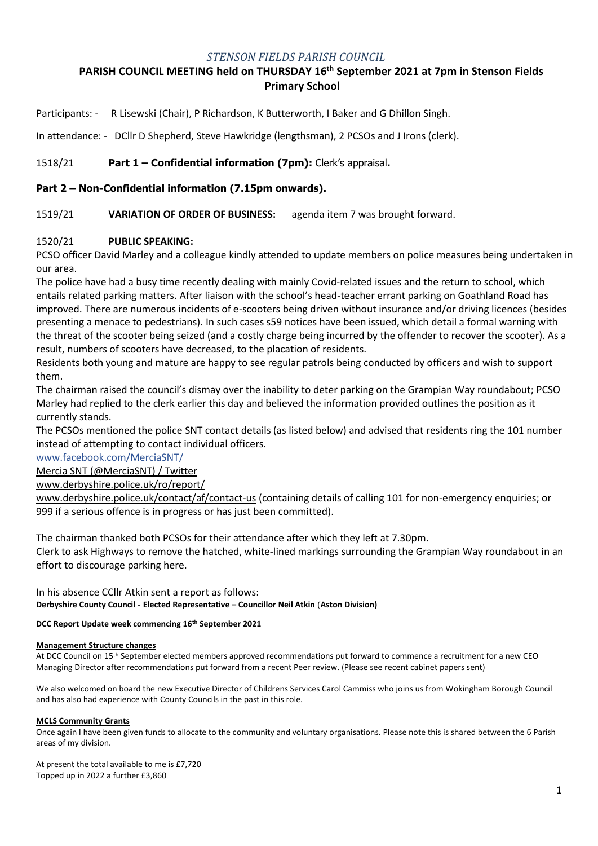## *STENSON FIELDS PARISH COUNCIL*

# **PARISH COUNCIL MEETING held on THURSDAY 16th September 2021 at 7pm in Stenson Fields Primary School**

Participants: - R Lisewski (Chair), P Richardson, K Butterworth, I Baker and G Dhillon Singh.

In attendance: - DCllr D Shepherd, Steve Hawkridge (lengthsman), 2 PCSOs and J Irons (clerk).

## 1518/21 **Part 1 – Confidential information (7pm):** Clerk's appraisal**.**

## **Part 2 – Non-Confidential information (7.15pm onwards).**

1519/21 **VARIATION OF ORDER OF BUSINESS:** agenda item 7 was brought forward.

## 1520/21 **PUBLIC SPEAKING:**

PCSO officer David Marley and a colleague kindly attended to update members on police measures being undertaken in our area.

The police have had a busy time recently dealing with mainly Covid-related issues and the return to school, which entails related parking matters. After liaison with the school's head-teacher errant parking on Goathland Road has improved. There are numerous incidents of e-scooters being driven without insurance and/or driving licences (besides presenting a menace to pedestrians). In such cases s59 notices have been issued, which detail a formal warning with the threat of the scooter being seized (and a costly charge being incurred by the offender to recover the scooter). As a result, numbers of scooters have decreased, to the placation of residents.

Residents both young and mature are happy to see regular patrols being conducted by officers and wish to support them.

The chairman raised the council's dismay over the inability to deter parking on the Grampian Way roundabout; PCSO Marley had replied to the clerk earlier this day and believed the information provided outlines the position as it currently stands.

The PCSOs mentioned the police SNT contact details (as listed below) and advised that residents ring the 101 number instead of attempting to contact individual officers.

www.facebook.com/MerciaSNT/

[Mercia SNT \(@MerciaSNT\) / Twitter](https://twitter.com/MerciaSNT/)

[www.derbyshire.police.uk/ro/report/](http://www.derbyshire.police.uk/ro/report/)

[www.derbyshire.police.uk/contact/af/contact-us](http://www.derbyshire.police.uk/contact/af/contact-us) (containing details of calling 101 for non-emergency enquiries; or 999 if a serious offence is in progress or has just been committed).

The chairman thanked both PCSOs for their attendance after which they left at 7.30pm.

Clerk to ask Highways to remove the hatched, white-lined markings surrounding the Grampian Way roundabout in an effort to discourage parking here.

In his absence CCllr Atkin sent a report as follows: **Derbyshire County Council** - **Elected Representative – Councillor Neil Atkin** (**Aston Division)**

### **DCC Report Update week commencing 16th September 2021**

### **Management Structure changes**

At DCC Council on 15th September elected members approved recommendations put forward to commence a recruitment for a new CEO Managing Director after recommendations put forward from a recent Peer review. (Please see recent cabinet papers sent)

We also welcomed on board the new Executive Director of Childrens Services Carol Cammiss who joins us from Wokingham Borough Council and has also had experience with County Councils in the past in this role.

### **MCLS Community Grants**

Once again I have been given funds to allocate to the community and voluntary organisations. Please note this is shared between the 6 Parish areas of my division.

At present the total available to me is £7,720 Topped up in 2022 a further £3,860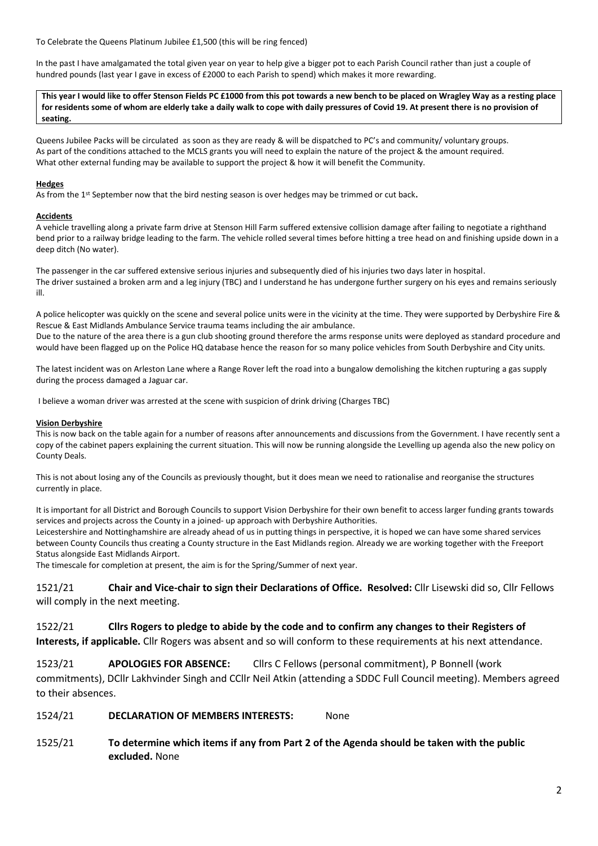To Celebrate the Queens Platinum Jubilee £1,500 (this will be ring fenced)

In the past I have amalgamated the total given year on year to help give a bigger pot to each Parish Council rather than just a couple of hundred pounds (last year I gave in excess of £2000 to each Parish to spend) which makes it more rewarding.

**This year I would like to offer Stenson Fields PC £1000 from this pot towards a new bench to be placed on Wragley Way as a resting place for residents some of whom are elderly take a daily walk to cope with daily pressures of Covid 19. At present there is no provision of seating.**

Queens Jubilee Packs will be circulated as soon as they are ready & will be dispatched to PC's and community/ voluntary groups. As part of the conditions attached to the MCLS grants you will need to explain the nature of the project & the amount required. What other external funding may be available to support the project & how it will benefit the Community.

#### **Hedges**

As from the 1st September now that the bird nesting season is over hedges may be trimmed or cut back**.**

#### **Accidents**

A vehicle travelling along a private farm drive at Stenson Hill Farm suffered extensive collision damage after failing to negotiate a righthand bend prior to a railway bridge leading to the farm. The vehicle rolled several times before hitting a tree head on and finishing upside down in a deep ditch (No water).

The passenger in the car suffered extensive serious injuries and subsequently died of his injuries two days later in hospital. The driver sustained a broken arm and a leg injury (TBC) and I understand he has undergone further surgery on his eyes and remains seriously ill.

A police helicopter was quickly on the scene and several police units were in the vicinity at the time. They were supported by Derbyshire Fire & Rescue & East Midlands Ambulance Service trauma teams including the air ambulance. Due to the nature of the area there is a gun club shooting ground therefore the arms response units were deployed as standard procedure and would have been flagged up on the Police HQ database hence the reason for so many police vehicles from South Derbyshire and City units.

The latest incident was on Arleston Lane where a Range Rover left the road into a bungalow demolishing the kitchen rupturing a gas supply during the process damaged a Jaguar car.

I believe a woman driver was arrested at the scene with suspicion of drink driving (Charges TBC)

#### **Vision Derbyshire**

This is now back on the table again for a number of reasons after announcements and discussions from the Government. I have recently sent a copy of the cabinet papers explaining the current situation. This will now be running alongside the Levelling up agenda also the new policy on County Deals.

This is not about losing any of the Councils as previously thought, but it does mean we need to rationalise and reorganise the structures currently in place.

It is important for all District and Borough Councils to support Vision Derbyshire for their own benefit to access larger funding grants towards services and projects across the County in a joined- up approach with Derbyshire Authorities.

Leicestershire and Nottinghamshire are already ahead of us in putting things in perspective, it is hoped we can have some shared services between County Councils thus creating a County structure in the East Midlands region. Already we are working together with the Freeport Status alongside East Midlands Airport.

The timescale for completion at present, the aim is for the Spring/Summer of next year.

1521/21 **Chair and Vice-chair to sign their Declarations of Office. Resolved:** Cllr Lisewski did so, Cllr Fellows will comply in the next meeting.

1522/21 **Cllrs Rogers to pledge to abide by the code and to confirm any changes to their Registers of Interests, if applicable.** Cllr Rogers was absent and so will conform to these requirements at his next attendance.

1523/21 **APOLOGIES FOR ABSENCE:** Cllrs C Fellows (personal commitment), P Bonnell (work commitments), DCllr Lakhvinder Singh and CCllr Neil Atkin (attending a SDDC Full Council meeting). Members agreed to their absences.

1524/21 **DECLARATION OF MEMBERS INTERESTS:** None

1525/21 **To determine which items if any from Part 2 of the Agenda should be taken with the public excluded.** None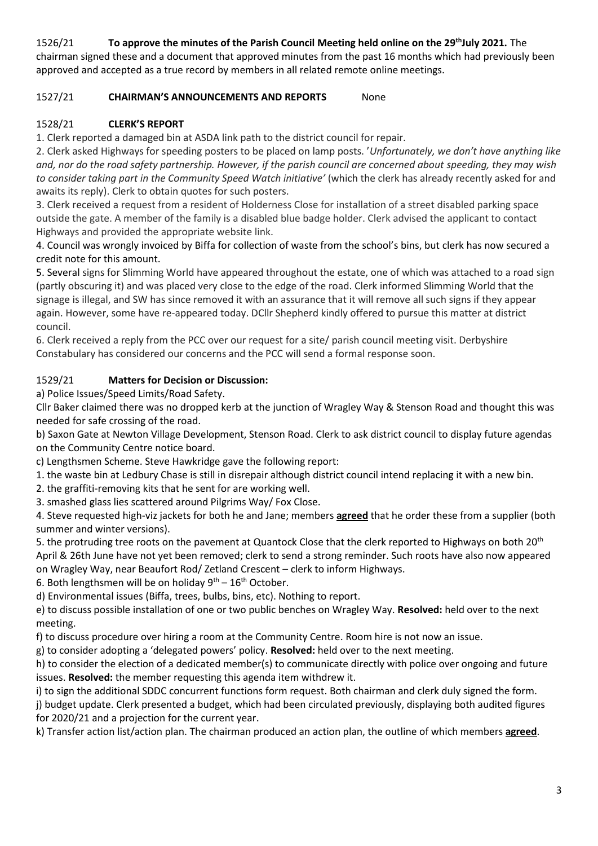# 1526/21 **To approve the minutes of the Parish Council Meeting held online on the 29 thJuly 2021.** The

chairman signed these and a document that approved minutes from the past 16 months which had previously been approved and accepted as a true record by members in all related remote online meetings.

## 1527/21 **CHAIRMAN'S ANNOUNCEMENTS AND REPORTS** None

# 1528/21 **CLERK'S REPORT**

1. Clerk reported a damaged bin at ASDA link path to the district council for repair.

2. Clerk asked Highways for speeding posters to be placed on lamp posts. '*Unfortunately, we don't have anything like and, nor do the road safety partnership. However, if the parish council are concerned about speeding, they may wish to consider taking part in the Community Speed Watch initiative'* (which the clerk has already recently asked for and awaits its reply). Clerk to obtain quotes for such posters.

3. Clerk received a request from a resident of Holderness Close for installation of a street disabled parking space outside the gate. A member of the family is a disabled blue badge holder. Clerk advised the applicant to contact Highways and provided the appropriate website link.

4. Council was wrongly invoiced by Biffa for collection of waste from the school's bins, but clerk has now secured a credit note for this amount.

5. Several signs for Slimming World have appeared throughout the estate, one of which was attached to a road sign (partly obscuring it) and was placed very close to the edge of the road. Clerk informed Slimming World that the signage is illegal, and SW has since removed it with an assurance that it will remove all such signs if they appear again. However, some have re-appeared today. DCllr Shepherd kindly offered to pursue this matter at district council.

6. Clerk received a reply from the PCC over our request for a site/ parish council meeting visit. Derbyshire Constabulary has considered our concerns and the PCC will send a formal response soon.

## 1529/21 **Matters for Decision or Discussion:**

a) Police Issues/Speed Limits/Road Safety.

Cllr Baker claimed there was no dropped kerb at the junction of Wragley Way & Stenson Road and thought this was needed for safe crossing of the road.

b) Saxon Gate at Newton Village Development, Stenson Road. Clerk to ask district council to display future agendas on the Community Centre notice board.

c) Lengthsmen Scheme. Steve Hawkridge gave the following report:

1. the waste bin at Ledbury Chase is still in disrepair although district council intend replacing it with a new bin.

2. the graffiti-removing kits that he sent for are working well.

3. smashed glass lies scattered around Pilgrims Way/ Fox Close.

4. Steve requested high-viz jackets for both he and Jane; members **agreed** that he order these from a supplier (both summer and winter versions).

5. the protruding tree roots on the pavement at Quantock Close that the clerk reported to Highways on both 20<sup>th</sup> April & 26th June have not yet been removed; clerk to send a strong reminder. Such roots have also now appeared on Wragley Way, near Beaufort Rod/ Zetland Crescent – clerk to inform Highways.

6. Both lengthsmen will be on holiday  $9^{th} - 16^{th}$  October.

d) Environmental issues (Biffa, trees, bulbs, bins, etc). Nothing to report.

e) to discuss possible installation of one or two public benches on Wragley Way. **Resolved:** held over to the next meeting.

f) to discuss procedure over hiring a room at the Community Centre. Room hire is not now an issue.

g) to consider adopting a 'delegated powers' policy. **Resolved:** held over to the next meeting.

h) to consider the election of a dedicated member(s) to communicate directly with police over ongoing and future issues. **Resolved:** the member requesting this agenda item withdrew it.

i) to sign the additional SDDC concurrent functions form request. Both chairman and clerk duly signed the form.

j) budget update. Clerk presented a budget, which had been circulated previously, displaying both audited figures for 2020/21 and a projection for the current year.

k) Transfer action list/action plan. The chairman produced an action plan, the outline of which members **agreed**.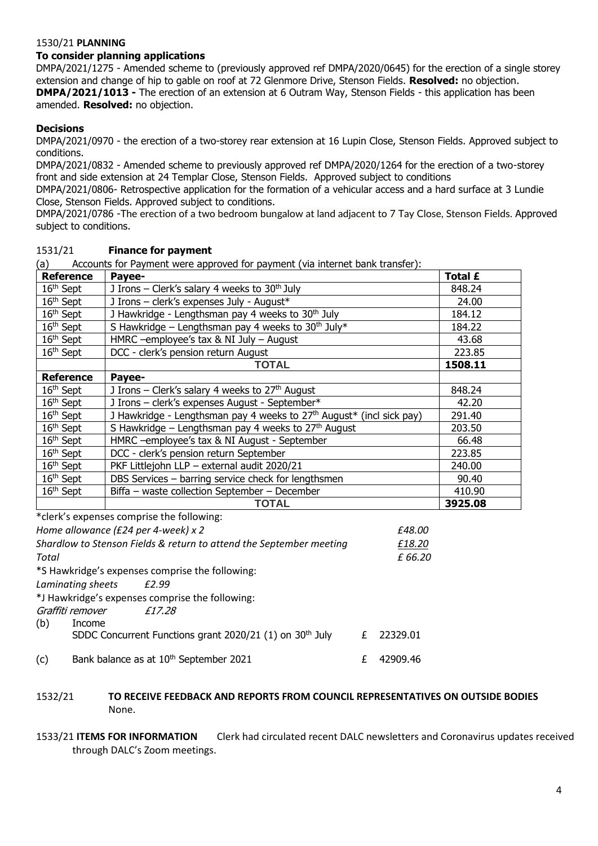### 1530/21 **PLANNING**

# **To consider planning applications**

DMPA/2021/1275 - Amended scheme to (previously approved ref DMPA/2020/0645) for the erection of a single storey extension and change of hip to gable on roof at 72 Glenmore Drive, Stenson Fields. **Resolved:** no objection. **DMPA/2021/1013 -** The erection of an extension at 6 Outram Way, Stenson Fields - this application has been amended. **Resolved:** no objection.

## **Decisions**

(b) Income

DMPA/2021/0970 - the erection of a two-storey rear extension at 16 Lupin Close, Stenson Fields. Approved subject to conditions.

DMPA/2021/0832 - Amended scheme to previously approved ref DMPA/2020/1264 for the erection of a two-storey front and side extension at 24 Templar Close, Stenson Fields. Approved subject to conditions

DMPA/2021/0806- Retrospective application for the formation of a vehicular access and a hard surface at 3 Lundie Close, Stenson Fields. Approved subject to conditions.

DMPA/2021/0786 -The erection of a two bedroom bungalow at land adjacent to 7 Tay Close, Stenson Fields. Approved subject to conditions.

| Accounts for Payment were approved for payment (via internet bank transfer):<br>(a) |                                                                                  |         |
|-------------------------------------------------------------------------------------|----------------------------------------------------------------------------------|---------|
| <b>Reference</b>                                                                    | Payee-                                                                           | Total £ |
| 16 <sup>th</sup> Sept                                                               | J Irons – Clerk's salary 4 weeks to $30th$ July                                  | 848.24  |
| 16 <sup>th</sup> Sept                                                               | J Irons - clerk's expenses July - August*                                        | 24.00   |
| 16 <sup>th</sup> Sept                                                               | J Hawkridge - Lengthsman pay 4 weeks to 30 <sup>th</sup> July                    | 184.12  |
| $16th$ Sept                                                                         | S Hawkridge – Lengthsman pay 4 weeks to $30th$ July*                             | 184.22  |
| 16 <sup>th</sup> Sept                                                               | HMRC -employee's tax $&$ NI July - August                                        | 43.68   |
| 16 <sup>th</sup> Sept                                                               | DCC - clerk's pension return August                                              | 223.85  |
|                                                                                     | <b>TOTAL</b>                                                                     | 1508.11 |
| <b>Reference</b>                                                                    | Payee-                                                                           |         |
| $16th$ Sept                                                                         | J Irons - Clerk's salary 4 weeks to 27th August                                  | 848.24  |
| 16 <sup>th</sup> Sept                                                               | J Irons - clerk's expenses August - September*                                   | 42.20   |
| 16 <sup>th</sup> Sept                                                               | J Hawkridge - Lengthsman pay 4 weeks to 27 <sup>th</sup> August* (incl sick pay) | 291.40  |
| $16th$ Sept                                                                         | S Hawkridge - Lengthsman pay 4 weeks to 27th August                              | 203.50  |
| 16 <sup>th</sup> Sept                                                               | HMRC -employee's tax & NI August - September                                     | 66.48   |
| 16 <sup>th</sup> Sept                                                               | DCC - clerk's pension return September                                           | 223.85  |
| 16 <sup>th</sup> Sept                                                               | PKF Littlejohn LLP - external audit 2020/21                                      | 240.00  |
| 16 <sup>th</sup> Sept                                                               | DBS Services - barring service check for lengthsmen                              | 90.40   |
| $16th$ Sept                                                                         | Biffa - waste collection September - December                                    | 410.90  |
|                                                                                     | <b>TOTAL</b>                                                                     | 3925.08 |
|                                                                                     | *clerk's expenses comprise the following:                                        |         |
|                                                                                     | Home allowance (£24 per 4-week) x 2<br>£48.00                                    |         |
|                                                                                     | Shardlow to Stenson Fields & return to attend the September meeting<br>£18.20    |         |
| Total                                                                               | £66.20                                                                           |         |
|                                                                                     | *S Hawkridge's expenses comprise the following:                                  |         |
| Laminating sheets<br>£2.99                                                          |                                                                                  |         |
| *J Hawkridge's expenses comprise the following:                                     |                                                                                  |         |
| Graffiti remover                                                                    | £17.28                                                                           |         |

### 1531/21 **Finance for payment**

| 1532/21 | TO RECEIVE FEEDBACK AND REPORTS FROM COUNCIL REPRESENTATIVES ON OUTSIDE BODIES |
|---------|--------------------------------------------------------------------------------|
|         | None.                                                                          |

SDDC Concurrent Functions grant 2020/21 (1) on  $30<sup>th</sup>$  July  $E = 22329.01$ 

(c) Bank balance as at  $10^{th}$  September 2021  $\epsilon$  42909.46

1533/21 **ITEMS FOR INFORMATION** Clerk had circulated recent DALC newsletters and Coronavirus updates received through DALC's Zoom meetings.